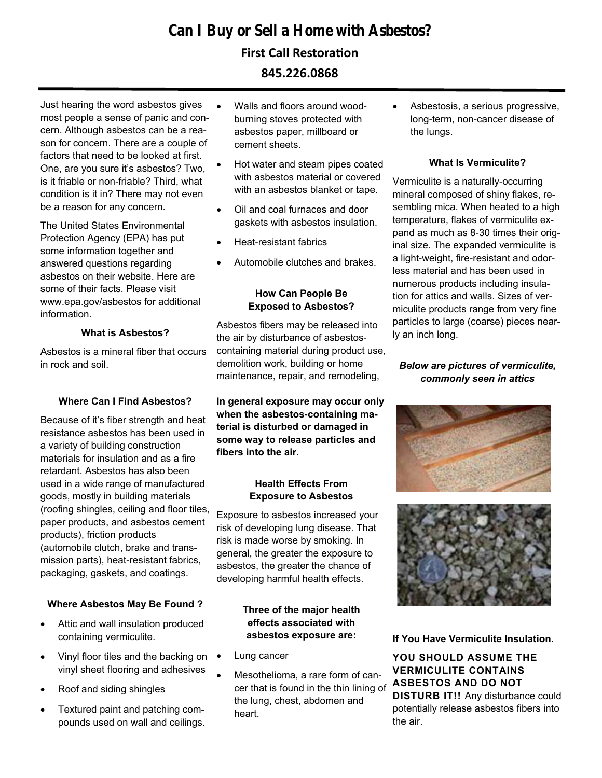# **Can I Buy or Sell a Home with Asbestos?**

## **First Call Restoration**

**845.226.0868**

Just hearing the word asbestos gives most people a sense of panic and concern. Although asbestos can be a reason for concern. There are a couple of factors that need to be looked at first. One, are you sure it's asbestos? Two, is it friable or non-friable? Third, what condition is it in? There may not even be a reason for any concern.

The United States Environmental Protection Agency (EPA) has put some information together and answered questions regarding asbestos on their website. Here are some of their facts. Please visit www.epa.gov/asbestos for additional information.

## **What is Asbestos?**

Asbestos is a mineral fiber that occurs in rock and soil.

## **Where Can I Find Asbestos?**

Because of it's fiber strength and heat resistance asbestos has been used in a variety of building construction materials for insulation and as a fire retardant. Asbestos has also been used in a wide range of manufactured goods, mostly in building materials (roofing shingles, ceiling and floor tiles, paper products, and asbestos cement products), friction products (automobile clutch, brake and transmission parts), heat-resistant fabrics, packaging, gaskets, and coatings.

## **Where Asbestos May Be Found ?**

- Attic and wall insulation produced containing vermiculite.
- Vinyl floor tiles and the backing on vinyl sheet flooring and adhesives
- Roof and siding shingles
- Textured paint and patching compounds used on wall and ceilings.
- Walls and floors around woodburning stoves protected with asbestos paper, millboard or cement sheets.
- Hot water and steam pipes coated with asbestos material or covered with an asbestos blanket or tape.
- Oil and coal furnaces and door gaskets with asbestos insulation.
- Heat-resistant fabrics
- Automobile clutches and brakes.

### **How Can People Be Exposed to Asbestos?**

Asbestos fibers may be released into the air by disturbance of asbestoscontaining material during product use, demolition work, building or home maintenance, repair, and remodeling,

**In general exposure may occur only when the asbestos-containing material is disturbed or damaged in some way to release particles and fibers into the air.** 

#### **Health Effects From Exposure to Asbestos**

Exposure to asbestos increased your risk of developing lung disease. That risk is made worse by smoking. In general, the greater the exposure to asbestos, the greater the chance of developing harmful health effects.

#### **Three of the major health effects associated with asbestos exposure are:**

- Lung cancer
- Mesothelioma, a rare form of cancer that is found in the thin lining of the lung, chest, abdomen and heart.

• Asbestosis, a serious progressive, long-term, non-cancer disease of the lungs.

#### **What Is Vermiculite?**

Vermiculite is a naturally-occurring mineral composed of shiny flakes, resembling mica. When heated to a high temperature, flakes of vermiculite expand as much as 8-30 times their original size. The expanded vermiculite is a light-weight, fire-resistant and odorless material and has been used in numerous products including insulation for attics and walls. Sizes of vermiculite products range from very fine particles to large (coarse) pieces nearly an inch long.

## *Below are pictures of vermiculite, commonly seen in attics*





**If You Have Vermiculite Insulation.** 

**YOU SHOULD ASSUME THE VERMICULITE CONTAINS ASBESTOS AND DO NOT DISTURB IT!!** Any disturbance could potentially release asbestos fibers into the air.